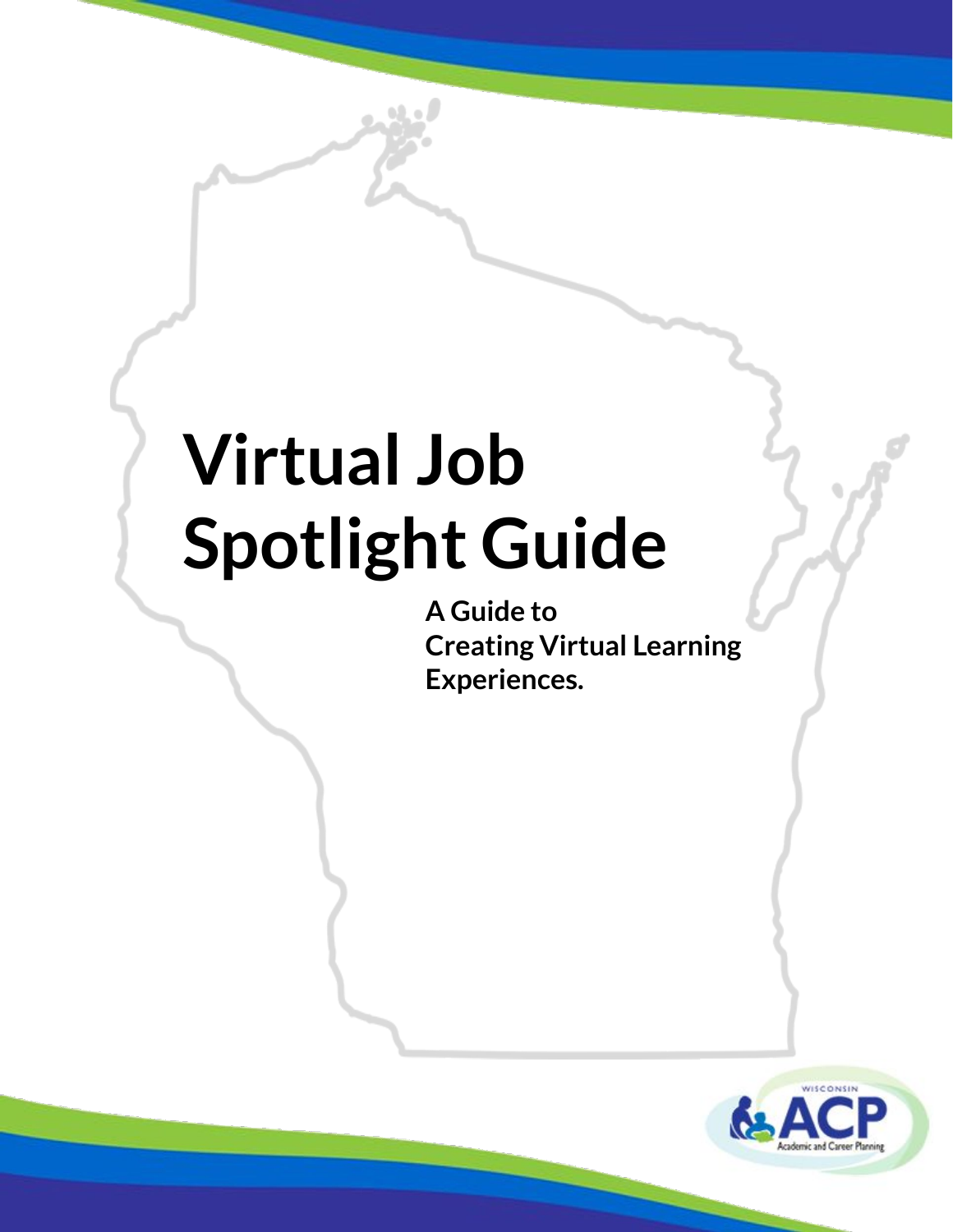**A Guide to Creating Virtual Learning Experiences.**

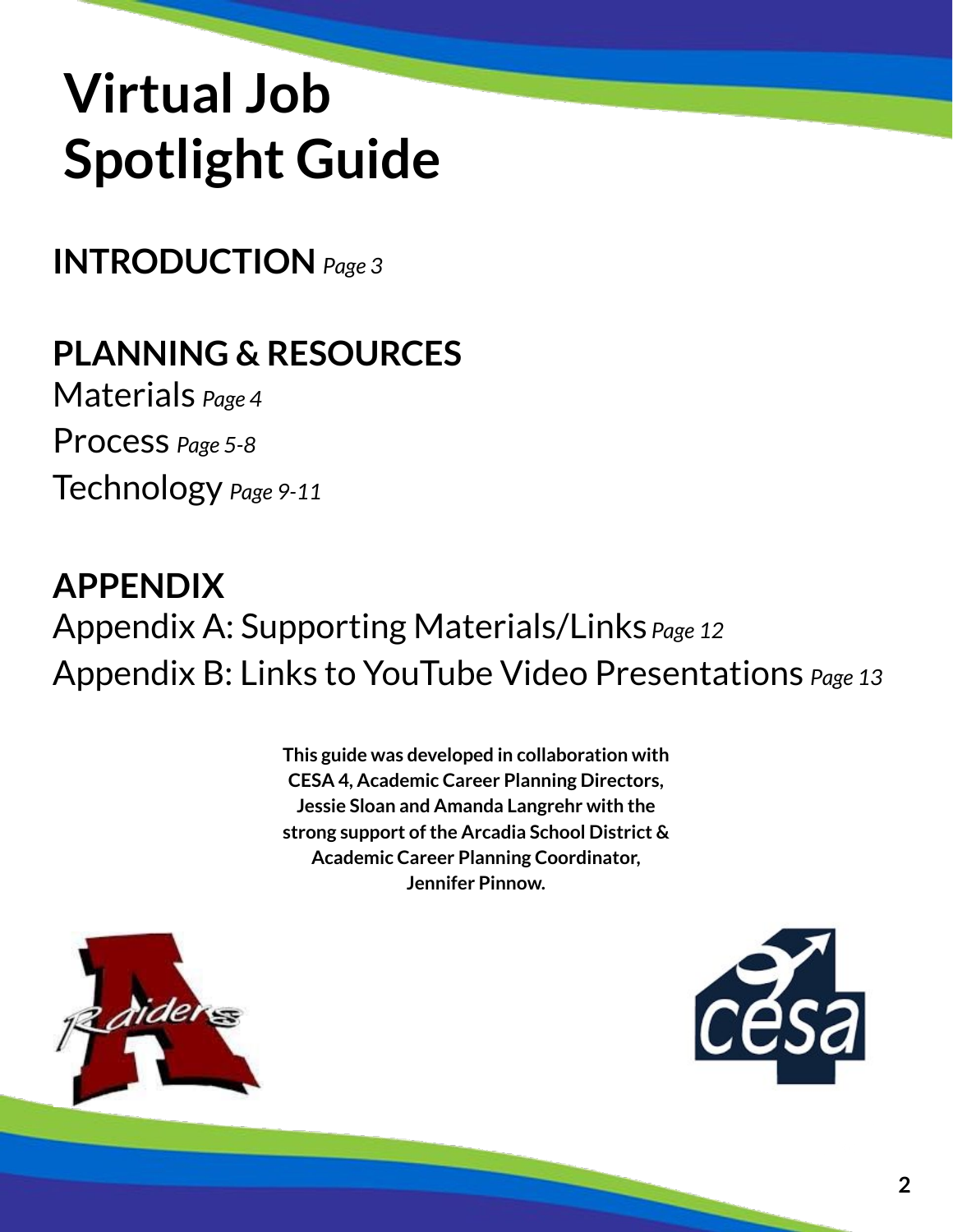**INTRODUCTION** *Page 3*

## **PLANNING & RESOURCES**

Materials *Page 4* Process *Page 5-8*

Technology *Page 9-11*

### **APPENDIX** Appendix A: Supporting Materials/Links *Page 12* Appendix B: Links to YouTube Video Presentations *Page 13*

**This guide was developed in collaboration with CESA 4, Academic Career Planning Directors, Jessie Sloan and Amanda Langrehr with the strong support of the Arcadia School District & Academic Career Planning Coordinator, Jennifer Pinnow.**



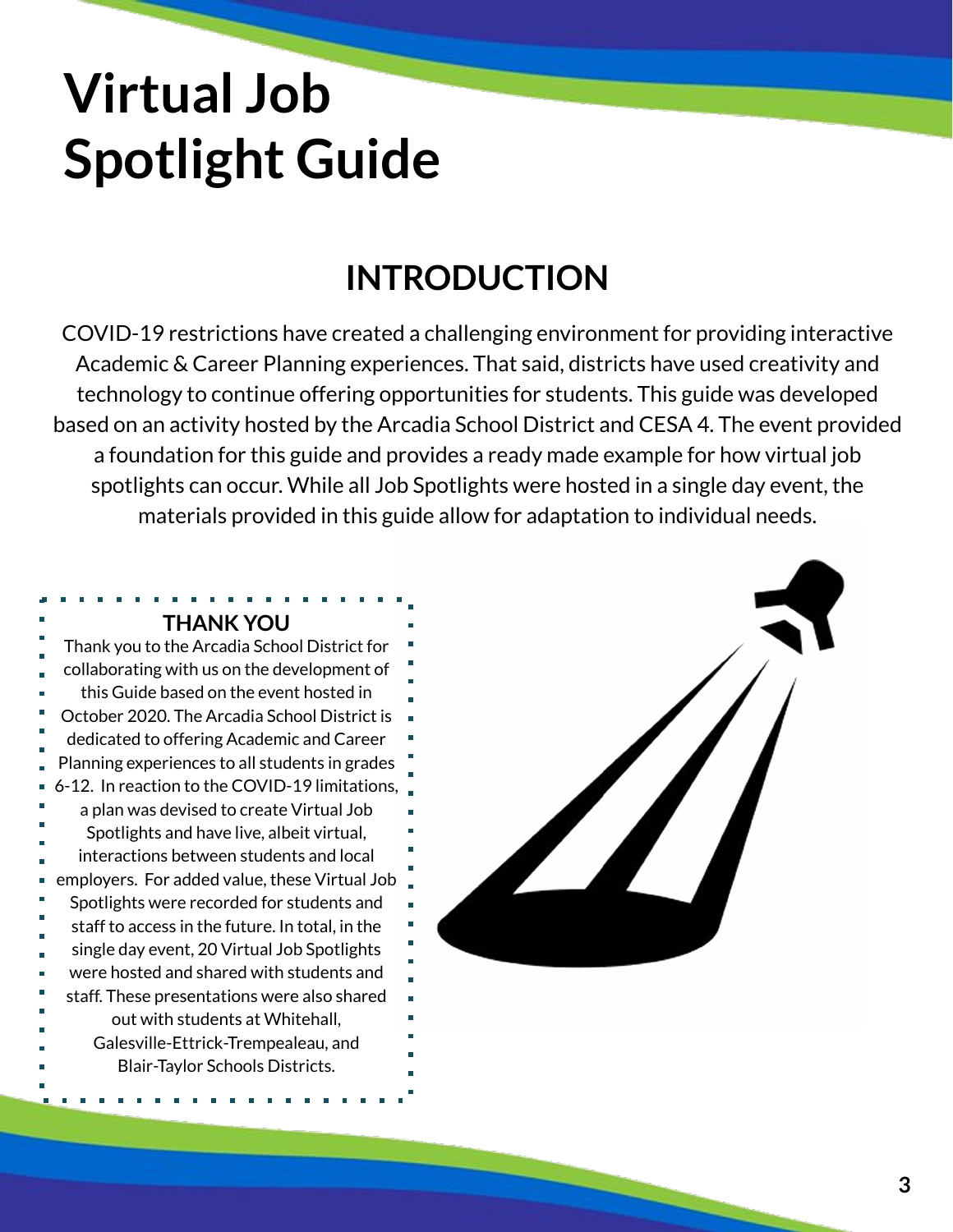### **INTRODUCTION**

COVID-19 restrictions have created a challenging environment for providing interactive Academic & Career Planning experiences. That said, districts have used creativity and technology to continue offering opportunities for students. This guide was developed based on an activity hosted by the Arcadia School District and CESA 4. The event provided a foundation for this guide and provides a ready made example for how virtual job spotlights can occur. While all Job Spotlights were hosted in a single day event, the materials provided in this guide allow for adaptation to individual needs.

### **THANK YOU** Thank you to the Arcadia School District for collaborating with us on the development of this Guide based on the event hosted in October 2020. The Arcadia School District is dedicated to offering Academic and Career Planning experiences to all students in grades 6-12. In reaction to the COVID-19 limitations, a plan was devised to create Virtual Job Spotlights and have live, albeit virtual, interactions between students and local employers. For added value, these Virtual Job Spotlights were recorded for students and staff to access in the future. In total, in the single day event, 20 Virtual Job Spotlights were hosted and shared with students and staff. These presentations were also shared out with students at Whitehall, Galesville-Ettrick-Trempealeau, and Blair-Taylor Schools Districts.

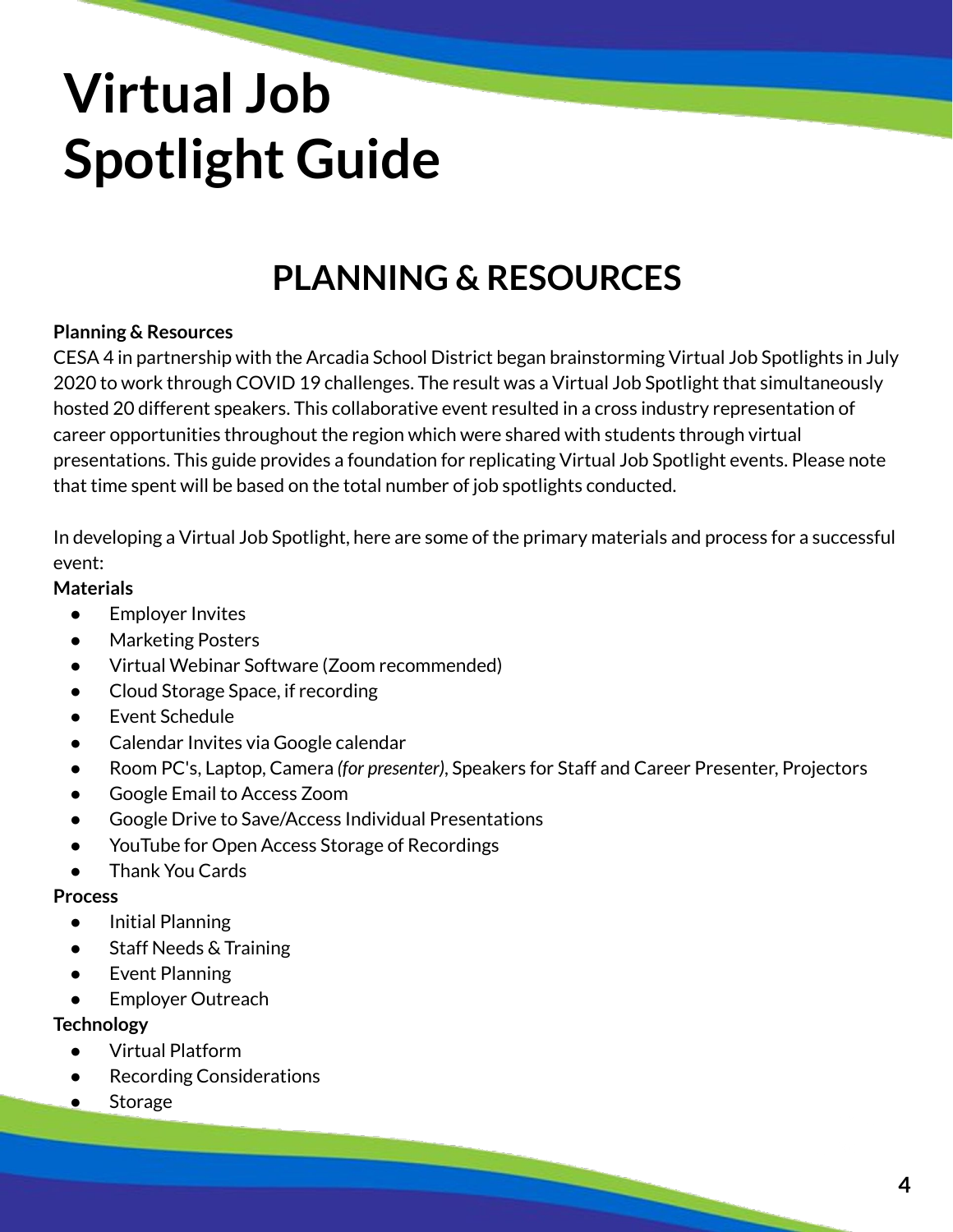## **PLANNING & RESOURCES**

#### **Planning & Resources**

CESA 4 in partnership with the Arcadia School District began brainstorming Virtual Job Spotlights in July 2020 to work through COVID 19 challenges. The result was a Virtual Job Spotlight that simultaneously hosted 20 different speakers. This collaborative event resulted in a cross industry representation of career opportunities throughout the region which were shared with students through virtual presentations. This guide provides a foundation for replicating Virtual Job Spotlight events. Please note that time spent will be based on the total number of job spotlights conducted.

In developing a Virtual Job Spotlight, here are some of the primary materials and process for a successful event:

#### **Materials**

- Employer Invites
- Marketing Posters
- Virtual Webinar Software (Zoom recommended)
- Cloud Storage Space, if recording
- Event Schedule
- Calendar Invites via Google calendar
- Room PC's, Laptop, Camera *(for presenter)*, Speakers for Staff and Career Presenter, Projectors
- Google Email to Access Zoom
- Google Drive to Save/Access Individual Presentations
- YouTube for Open Access Storage of Recordings
- **Thank You Cards**

#### **Process**

- Initial Planning
- Staff Needs & Training
- Event Planning
- Employer Outreach

### **Technology**

- Virtual Platform
- **Recording Considerations**
- **Storage**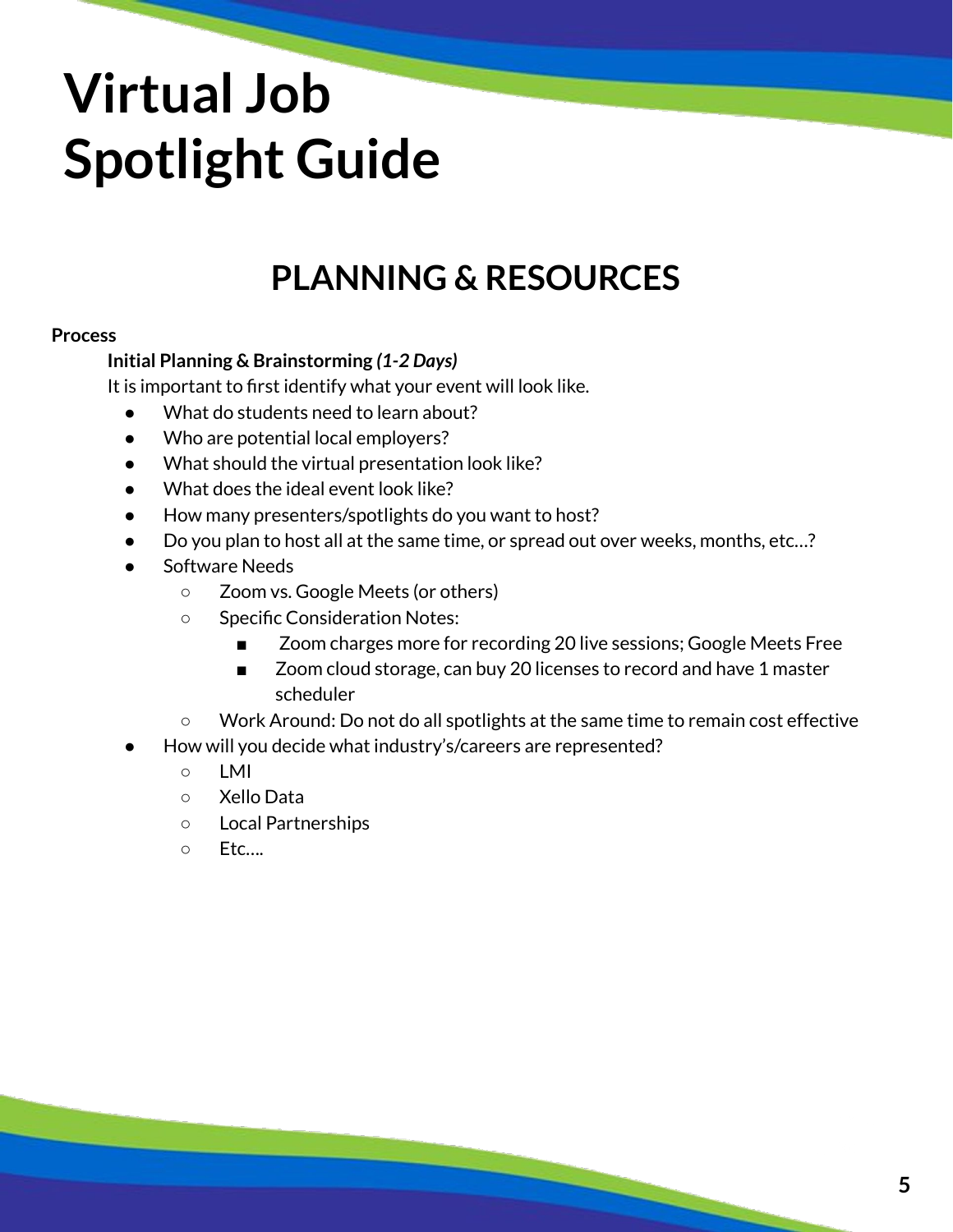### **PLANNING & RESOURCES**

#### **Process**

#### **Initial Planning & Brainstorming** *(1-2 Days)*

It is important to first identify what your event will look like.

- What do students need to learn about?
- Who are potential local employers?
- What should the virtual presentation look like?
- What does the ideal event look like?
- How many presenters/spotlights do you want to host?
- Do you plan to host all at the same time, or spread out over weeks, months, etc...?
- Software Needs
	- Zoom vs. Google Meets (or others)
	- Specific Consideration Notes:
		- Zoom charges more for recording 20 live sessions; Google Meets Free
		- Zoom cloud storage, can buy 20 licenses to record and have 1 master scheduler
	- Work Around: Do not do all spotlights at the same time to remain cost effective
- How will you decide what industry's/careers are represented?
	- LMI
	- Xello Data
	- Local Partnerships
	- Etc….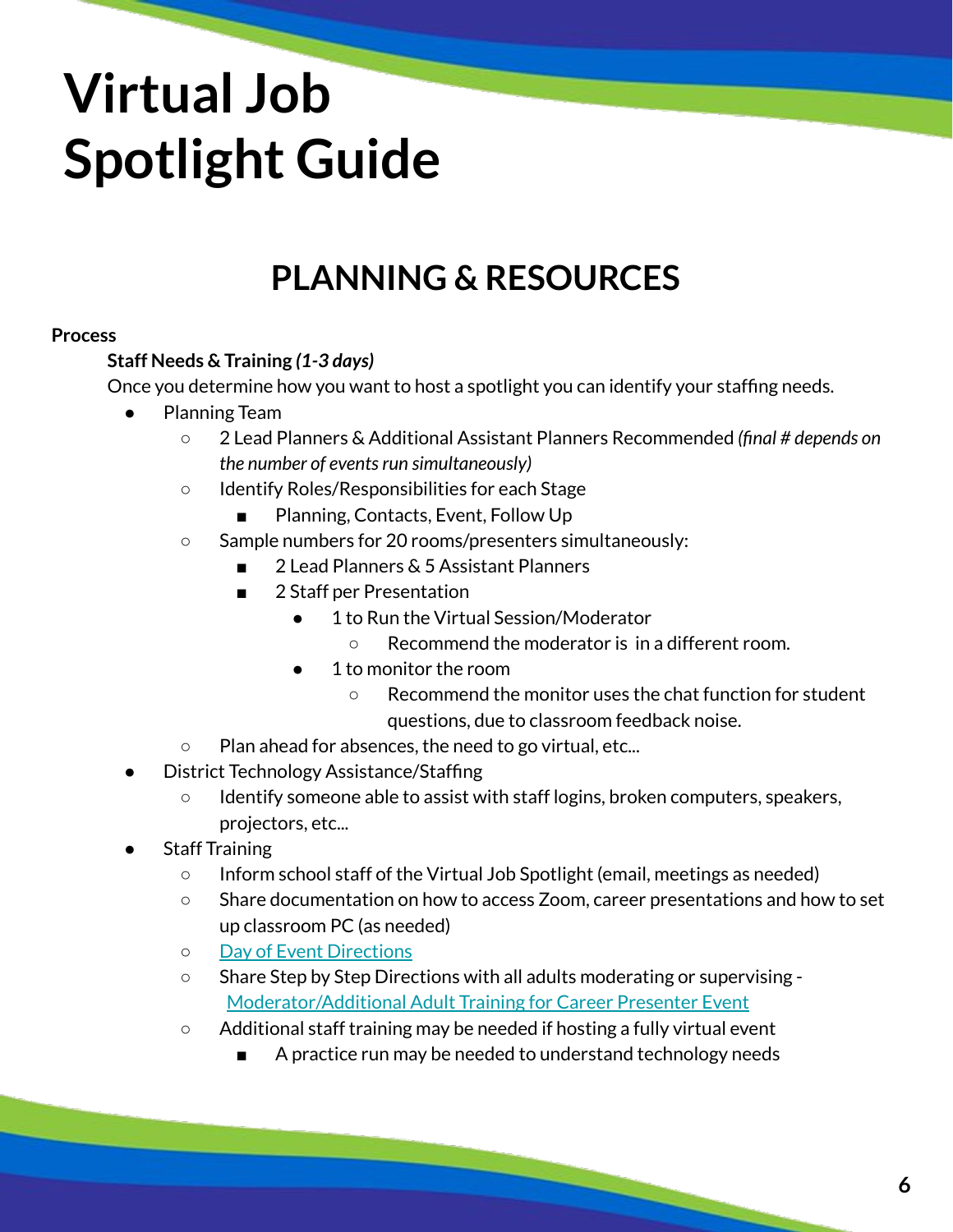### **PLANNING & RESOURCES**

#### **Process**

### **Staff Needs & Training** *(1-3 days)*

Once you determine how you want to host a spotlight you can identify your staffing needs.

- **Planning Team** 
	- 2 Lead Planners & Additional Assistant Planners Recommended *(final # depends on the number of events run simultaneously)*
	- Identify Roles/Responsibilities for each Stage
		- Planning, Contacts, Event, Follow Up
	- Sample numbers for 20 rooms/presenters simultaneously:
		- 2 Lead Planners & 5 Assistant Planners
		- 2 Staff per Presentation
			- 1 to Run the Virtual Session/Moderator
				- Recommend the moderator is in a different room.
			- 1 to monitor the room
				- Recommend the monitor uses the chat function for student questions, due to classroom feedback noise.
	- Plan ahead for absences, the need to go virtual, etc...
- District Technology Assistance/Staffing
	- Identify someone able to assist with staff logins, broken computers, speakers, projectors, etc...
- **Staff Training** 
	- Inform school staff of the Virtual Job Spotlight (email, meetings as needed)
	- Share documentation on how to access Zoom, career presentations and how to set up classroom PC (as needed)
	- [Day of Event Directions](https://docs.google.com/document/d/108FfwN1IF9PJSKILBw21z3yXLBBp_VjFqZj_ZeAmZpo/edit?usp=sharing)
	- Share Step by Step Directions with all adults moderating or supervising [Moderator/Additional Adult Training for Career Presenter Event](https://docs.google.com/document/d/1HSEjThqzj-MJwtA5zzIJefbmPVZsSDDT8thrW1y3U8s/edit?usp=sharing)
	- $\circ$  Additional staff training may be needed if hosting a fully virtual event
		- A practice run may be needed to understand technology needs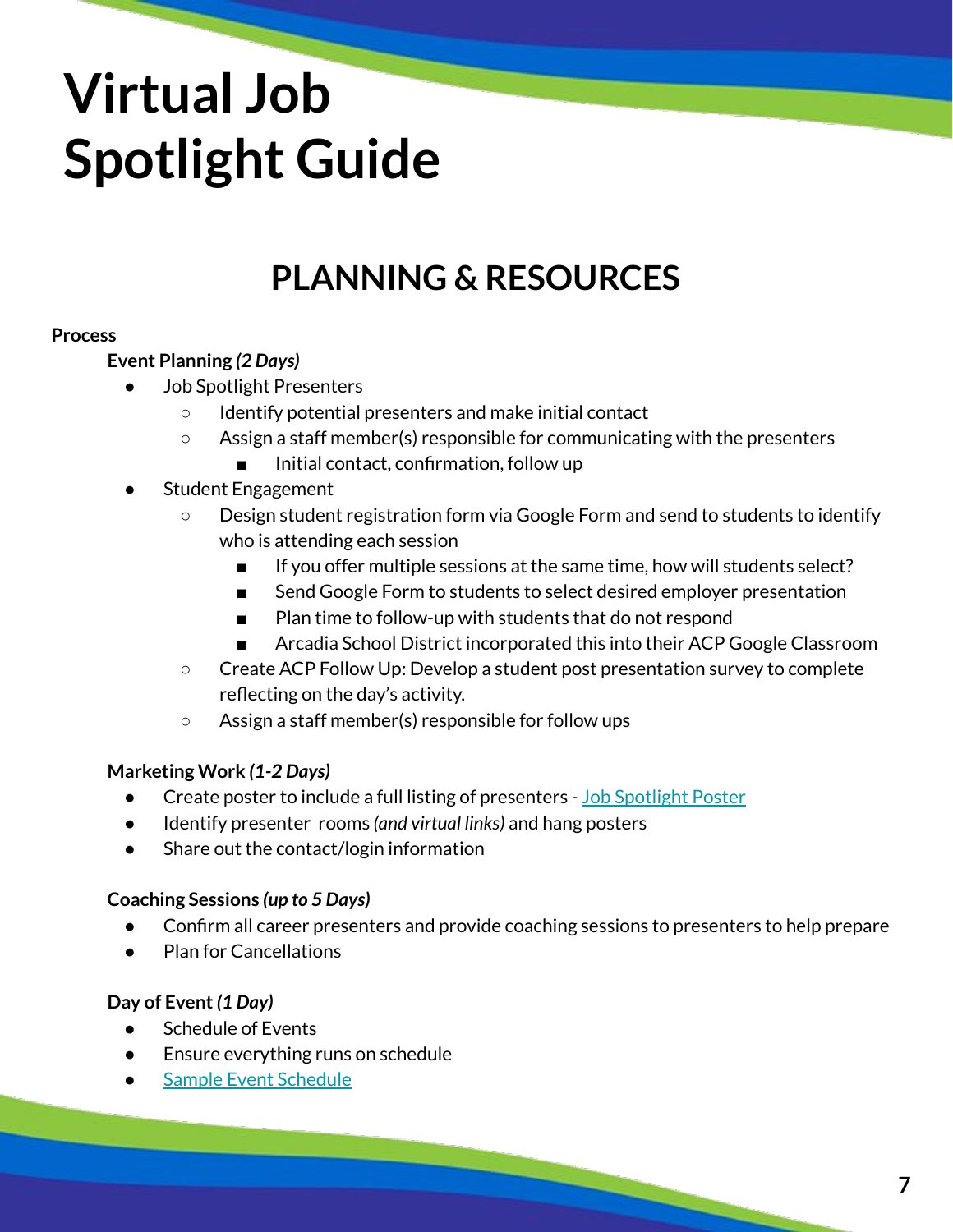### **PLANNING & RESOURCES**

#### **Process**

#### **Event Planning** *(2 Days)*

- **Job Spotlight Presenters** 
	- Identify potential presenters and make initial contact
	- Assign a staff member(s) responsible for communicating with the presenters
		- Initial contact, confirmation, follow up
- Student Engagement
	- Design student registration form via Google Form and send to students to identify who is attending each session
		- If you offer multiple sessions at the same time, how will students select?
		- Send Google Form to students to select desired employer presentation
		- Plan time to follow-up with students that do not respond
		- Arcadia School District incorporated this into their ACP Google Classroom
	- Create ACP Follow Up: Develop a student post presentation survey to complete reflecting on the day's activity.
	- Assign a staff member(s) responsible for follow ups

### **Marketing Work** *(1-2 Days)*

- Create poster to include a full listing of presenters [Job Spotlight Poster](https://drive.google.com/file/d/1L8KbzHHXu-xshxx5RGUfymJq1OSFKSm3/view?usp=sharing)
- Identify presenter rooms *(and virtual links)* and hang posters
- Share out the contact/login information

### **Coaching Sessions** *(up to 5 Days)*

- Confirm all career presenters and provide coaching sessions to presenters to help prepare
- Plan for Cancellations

### **Day of Event** *(1 Day)*

- Schedule of Events
- Ensure everything runs on schedule
- **[Sample Event Schedule](https://docs.google.com/document/d/1T3A7jJ3sE7_MSM0pJKSSzPUwIf-NwFcfTbEquqzdoUQ/edit?usp=sharing)**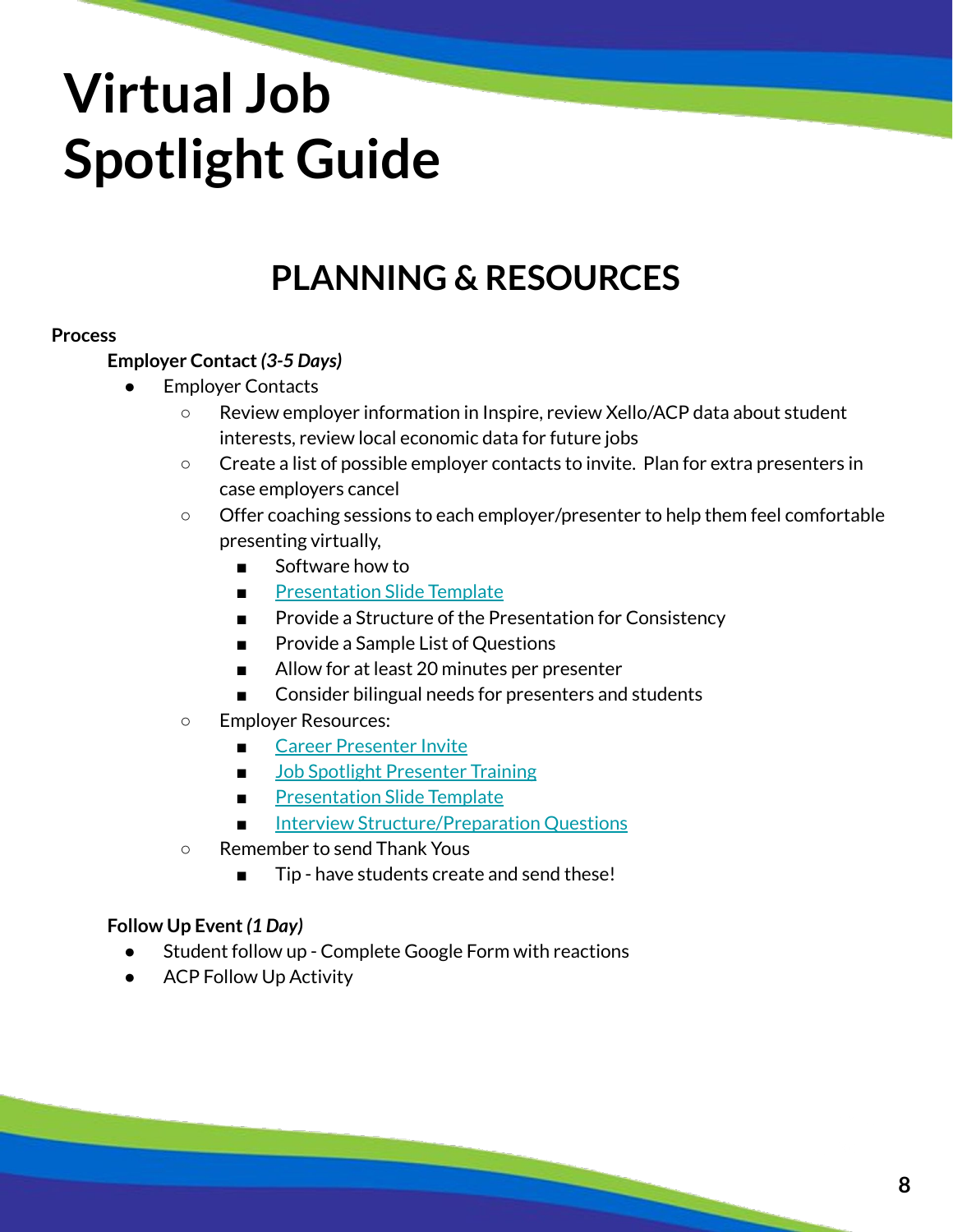### **PLANNING & RESOURCES**

#### **Process**

#### **Employer Contact** *(3-5 Days)*

- **Employer Contacts** 
	- Review employer information in Inspire, review Xello/ACP data about student interests, review local economic data for future jobs
	- Create a list of possible employer contacts to invite. Plan for extra presenters in case employers cancel
	- Offer coaching sessions to each employer/presenter to help them feel comfortable presenting virtually,
		- Software how to
		- **[Presentation Slide Template](https://docs.google.com/presentation/d/1VUlY6pCmExncGph6GOaGPmQfdJJAyPeZo8xDq-OnGwE/edit?usp=sharing)**
		- Provide a Structure of the Presentation for Consistency
		- Provide a Sample List of Questions
		- Allow for at least 20 minutes per presenter
		- Consider bilingual needs for presenters and students
	- Employer Resources:
		- [Career Presenter Invite](https://docs.google.com/document/d/1NgOV_bWYPawtyfNPkuZinlm0h9U8oc6pBJTF0eO-W0s/edit?usp=sharing)
		- [Job Spotlight Presenter Training](https://docs.google.com/document/d/1gK2OPGFnVvn8e2gDaoWMl6H3PHCjtLt5pqDD3iYeqrU/edit?usp=sharing)
		- [Presentation Slide Template](https://docs.google.com/presentation/d/1VUlY6pCmExncGph6GOaGPmQfdJJAyPeZo8xDq-OnGwE/edit?usp=sharing)
		- **[Interview Structure/Preparation Questions](https://docs.google.com/presentation/d/1tG0bS-lL0MJgXx9Uzh36sucgateX_hDo0VaOPIEDKuM/edit?usp=sharing)**
	- Remember to send Thank Yous
		- Tip have students create and send these!

#### **Follow Up Event** *(1 Day)*

- Student follow up Complete Google Form with reactions
- ACP Follow Up Activity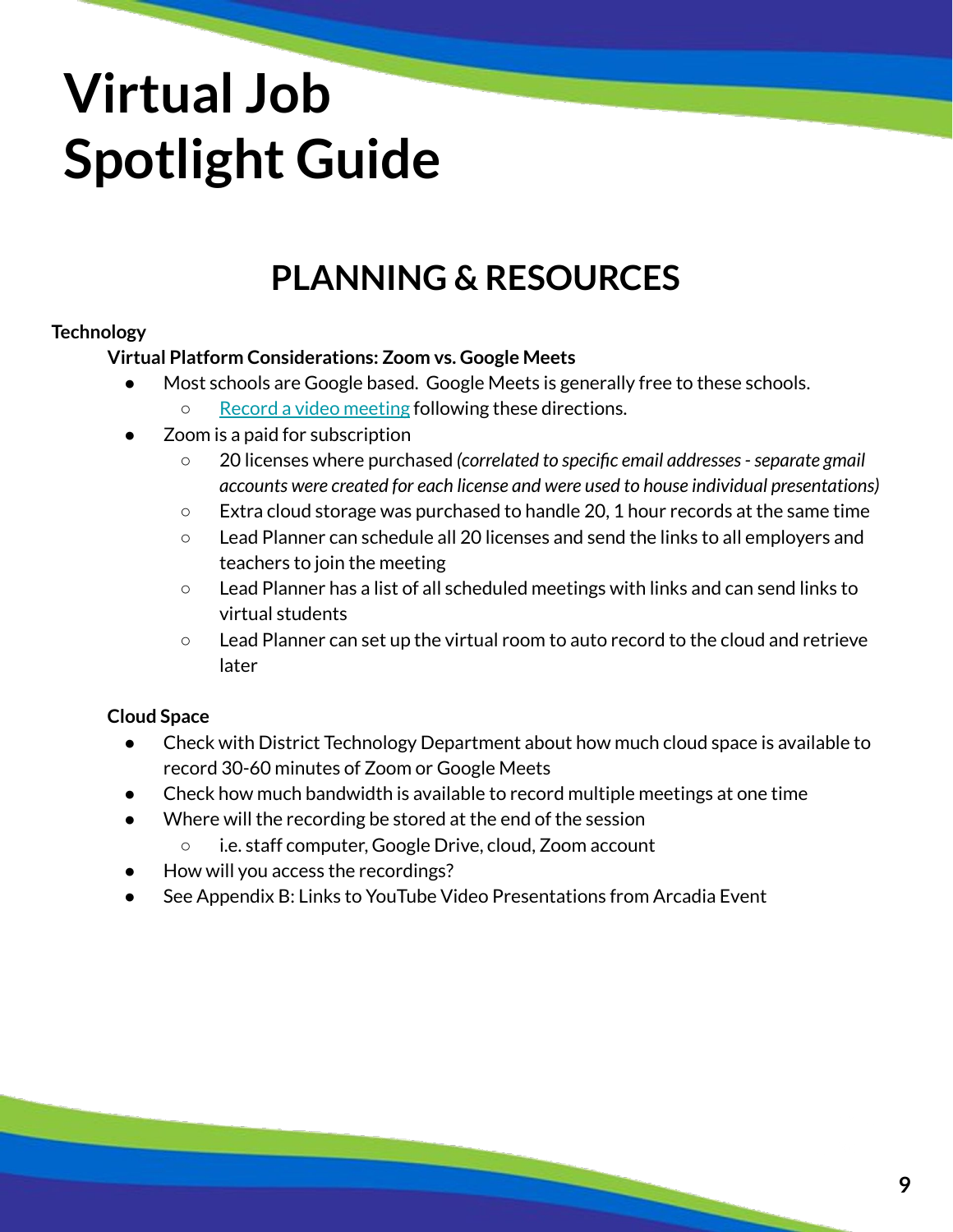### **PLANNING & RESOURCES**

### **Technology**

### **Virtual Platform Considerations: Zoom vs. Google Meets**

- Most schools are Google based. Google Meets is generally free to these schools.
	- [Record a video meeting](https://support.google.com/a/users/answer/9846751?hl=en) following these directions.
- Zoom is a paid for subscription
	- 20 licenses where purchased *(correlated to specific email addresses separate gmail accounts were created for each license and were used to house individual presentations)*
	- $\circ$  Extra cloud storage was purchased to handle 20, 1 hour records at the same time
	- Lead Planner can schedule all 20 licenses and send the links to all employers and teachers to join the meeting
	- Lead Planner has a list of all scheduled meetings with links and can send links to virtual students
	- Lead Planner can set up the virtual room to auto record to the cloud and retrieve later

### **Cloud Space**

- Check with District Technology Department about how much cloud space is available to record 30-60 minutes of Zoom or Google Meets
- Check how much bandwidth is available to record multiple meetings at one time
- Where will the recording be stored at the end of the session
	- i.e. staff computer, Google Drive, cloud, Zoom account
- How will you access the recordings?
- See Appendix B: Links to YouTube Video Presentations from Arcadia Event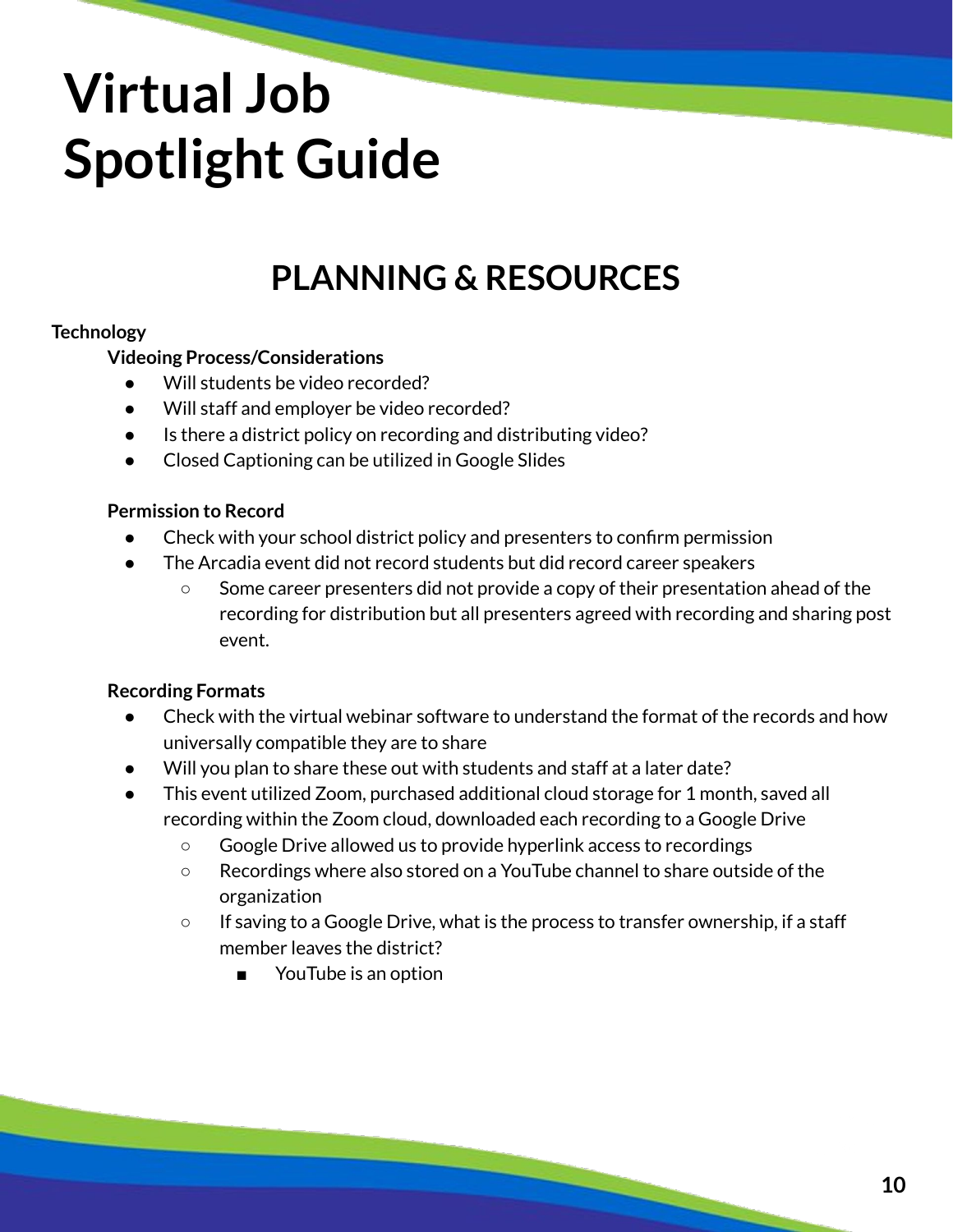### **PLANNING & RESOURCES**

### **Technology**

**Videoing Process/Considerations**

- Will students be video recorded?
- Will staff and employer be video recorded?
- Is there a district policy on recording and distributing video?
- Closed Captioning can be utilized in Google Slides

### **Permission to Record**

- Check with your school district policy and presenters to confirm permission
- The Arcadia event did not record students but did record career speakers
	- Some career presenters did not provide a copy of their presentation ahead of the recording for distribution but all presenters agreed with recording and sharing post event.

### **Recording Formats**

- Check with the virtual webinar software to understand the format of the records and how universally compatible they are to share
- Will you plan to share these out with students and staff at a later date?
- This event utilized Zoom, purchased additional cloud storage for 1 month, saved all recording within the Zoom cloud, downloaded each recording to a Google Drive
	- Google Drive allowed us to provide hyperlink access to recordings
	- Recordings where also stored on a YouTube channel to share outside of the organization
	- If saving to a Google Drive, what is the process to transfer ownership, if a staff member leaves the district?
		- YouTube is an option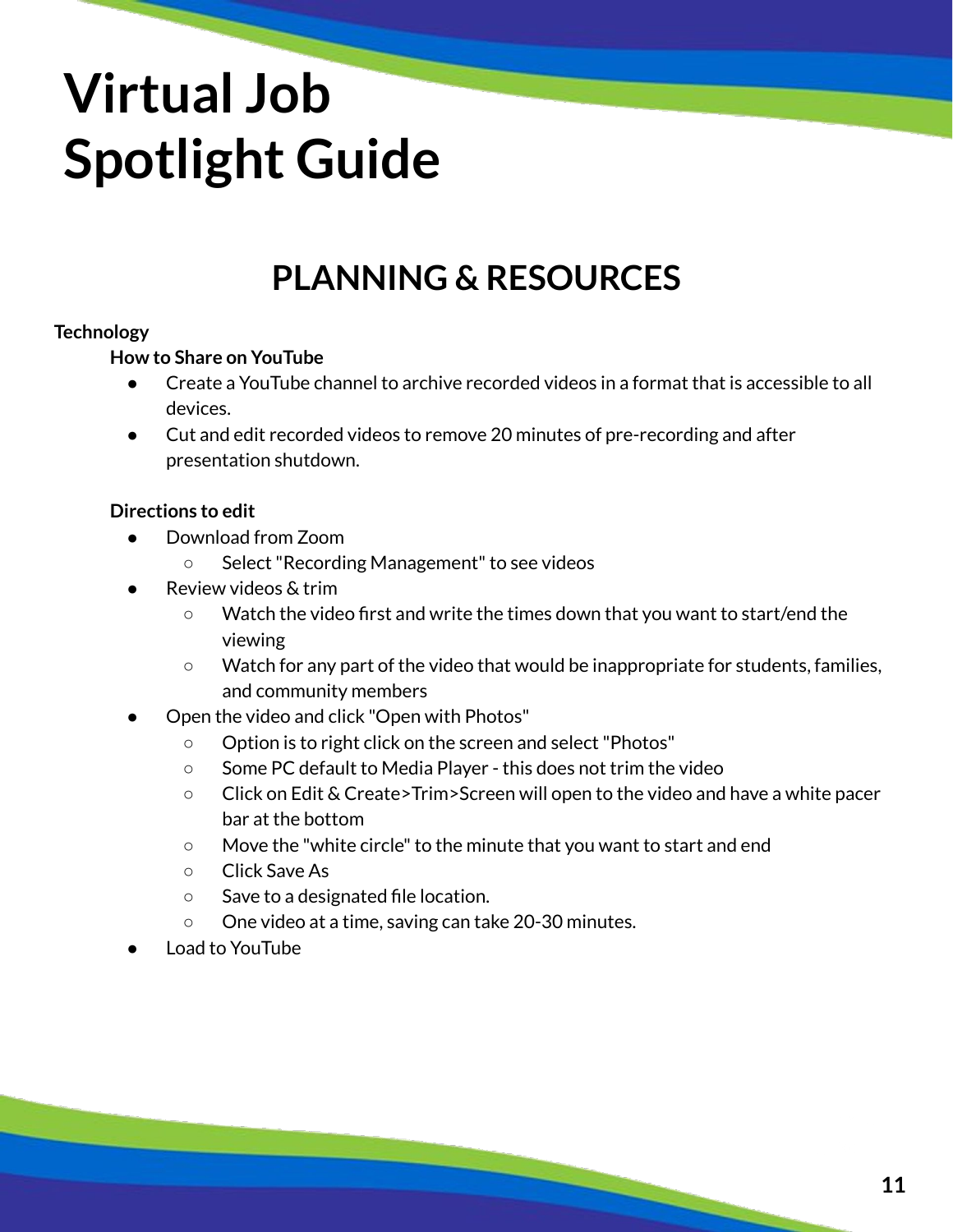### **PLANNING & RESOURCES**

### **Technology**

### **How to Share on YouTube**

- Create a YouTube channel to archive recorded videos in a format that is accessible to all devices.
- Cut and edit recorded videos to remove 20 minutes of pre-recording and after presentation shutdown.

#### **Directions to edit**

- Download from Zoom
	- Select "Recording Management" to see videos
- Review videos & trim
	- Watch the video first and write the times down that you want to start/end the viewing
	- Watch for any part of the video that would be inappropriate for students, families, and community members
- Open the video and click "Open with Photos"
	- Option is to right click on the screen and select "Photos"
	- Some PC default to Media Player this does not trim the video
	- Click on Edit & Create>Trim>Screen will open to the video and have a white pacer bar at the bottom
	- Move the "white circle" to the minute that you want to start and end
	- Click Save As
	- Save to a designated file location.
	- One video at a time, saving can take 20-30 minutes.
- Load to YouTube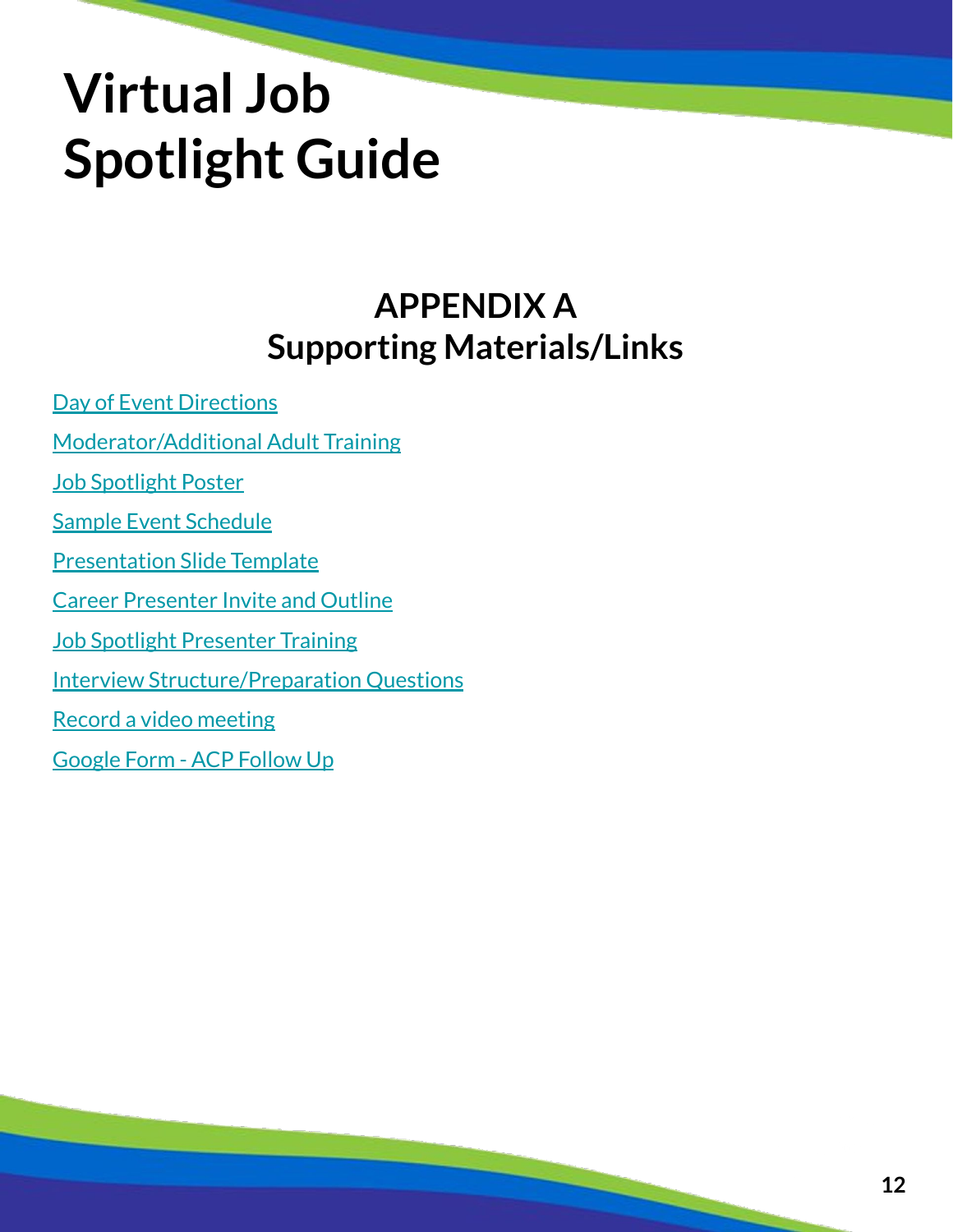### **APPENDIX A Supporting Materials/Links**

[Day of Event Directions](https://docs.google.com/document/d/108FfwN1IF9PJSKILBw21z3yXLBBp_VjFqZj_ZeAmZpo/edit?usp=sharing) [Moderator/Additional Adult Training](https://docs.google.com/document/d/1HSEjThqzj-MJwtA5zzIJefbmPVZsSDDT8thrW1y3U8s/edit?usp=sharing) [Job Spotlight Poster](https://drive.google.com/file/d/1L8KbzHHXu-xshxx5RGUfymJq1OSFKSm3/view?usp=sharing) [Sample Event Schedule](https://docs.google.com/document/d/1T3A7jJ3sE7_MSM0pJKSSzPUwIf-NwFcfTbEquqzdoUQ/edit?usp=sharing) [Presentation Slide Template](https://docs.google.com/presentation/d/1VUlY6pCmExncGph6GOaGPmQfdJJAyPeZo8xDq-OnGwE/edit?usp=sharing) [Career Presenter Invite and Outline](https://docs.google.com/document/d/1NgOV_bWYPawtyfNPkuZinlm0h9U8oc6pBJTF0eO-W0s/edit?usp=sharing) [Job Spotlight Presenter Training](https://docs.google.com/document/d/1gK2OPGFnVvn8e2gDaoWMl6H3PHCjtLt5pqDD3iYeqrU/edit?usp=sharing) [Interview Structure/Preparation Questions](https://docs.google.com/presentation/d/1tG0bS-lL0MJgXx9Uzh36sucgateX_hDo0VaOPIEDKuM/edit?usp=sharing) [Record a video meeting](https://support.google.com/a/users/answer/9846751?hl=en)

[Google Form - ACP Follow Up](https://docs.google.com/forms/d/1BSisxAmEU3k4aCxVmMKDUcUbF65OcJ9eJQkG7GiEkt4/copy)